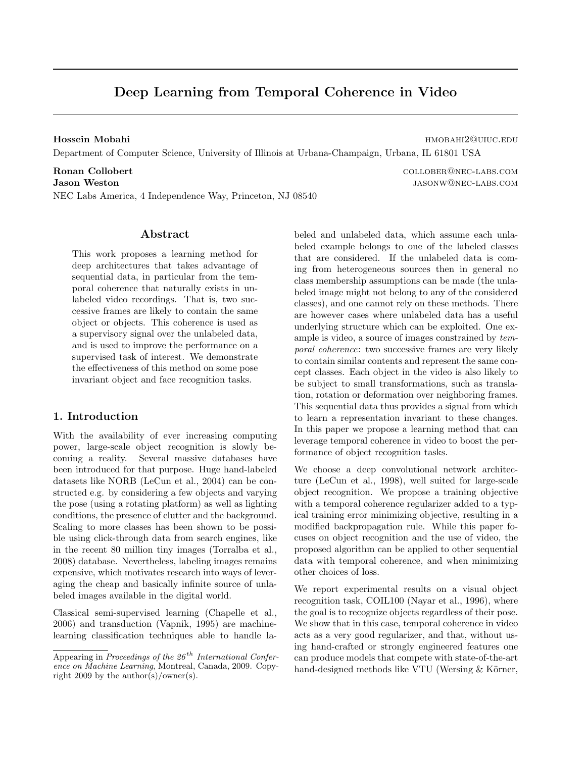# Deep Learning from Temporal Coherence in Video

Hossein Mobahi **https://www.facebook.com/mobahi/20uiuc.edu/mobahi/20uiuc.edu/mobahi**20uiuc.edu/mobahi Department of Computer Science, University of Illinois at Urbana-Champaign, Urbana, IL 61801 USA

Ronan Collobert collober@nec-labs.com Jason Weston jasonw@nec-labs.com NEC Labs America, 4 Independence Way, Princeton, NJ 08540

### Abstract

This work proposes a learning method for deep architectures that takes advantage of sequential data, in particular from the temporal coherence that naturally exists in unlabeled video recordings. That is, two successive frames are likely to contain the same object or objects. This coherence is used as a supervisory signal over the unlabeled data, and is used to improve the performance on a supervised task of interest. We demonstrate the effectiveness of this method on some pose invariant object and face recognition tasks.

# 1. Introduction

With the availability of ever increasing computing power, large-scale object recognition is slowly becoming a reality. Several massive databases have been introduced for that purpose. Huge hand-labeled datasets like NORB (LeCun et al., 2004) can be constructed e.g. by considering a few objects and varying the pose (using a rotating platform) as well as lighting conditions, the presence of clutter and the background. Scaling to more classes has been shown to be possible using click-through data from search engines, like in the recent 80 million tiny images (Torralba et al., 2008) database. Nevertheless, labeling images remains expensive, which motivates research into ways of leveraging the cheap and basically infinite source of unlabeled images available in the digital world.

Classical semi-supervised learning (Chapelle et al., 2006) and transduction (Vapnik, 1995) are machinelearning classification techniques able to handle labeled and unlabeled data, which assume each unlabeled example belongs to one of the labeled classes that are considered. If the unlabeled data is coming from heterogeneous sources then in general no class membership assumptions can be made (the unlabeled image might not belong to any of the considered classes), and one cannot rely on these methods. There are however cases where unlabeled data has a useful underlying structure which can be exploited. One example is video, a source of images constrained by temporal coherence: two successive frames are very likely to contain similar contents and represent the same concept classes. Each object in the video is also likely to be subject to small transformations, such as translation, rotation or deformation over neighboring frames. This sequential data thus provides a signal from which to learn a representation invariant to these changes. In this paper we propose a learning method that can leverage temporal coherence in video to boost the performance of object recognition tasks.

We choose a deep convolutional network architecture (LeCun et al., 1998), well suited for large-scale object recognition. We propose a training objective with a temporal coherence regularizer added to a typical training error minimizing objective, resulting in a modified backpropagation rule. While this paper focuses on object recognition and the use of video, the proposed algorithm can be applied to other sequential data with temporal coherence, and when minimizing other choices of loss.

We report experimental results on a visual object recognition task, COIL100 (Nayar et al., 1996), where the goal is to recognize objects regardless of their pose. We show that in this case, temporal coherence in video acts as a very good regularizer, and that, without using hand-crafted or strongly engineered features one can produce models that compete with state-of-the-art hand-designed methods like VTU (Wersing  $&$  Körner,

Appearing in Proceedings of the  $26<sup>th</sup> International Confer$ ence on Machine Learning, Montreal, Canada, 2009. Copyright 2009 by the author(s)/owner(s).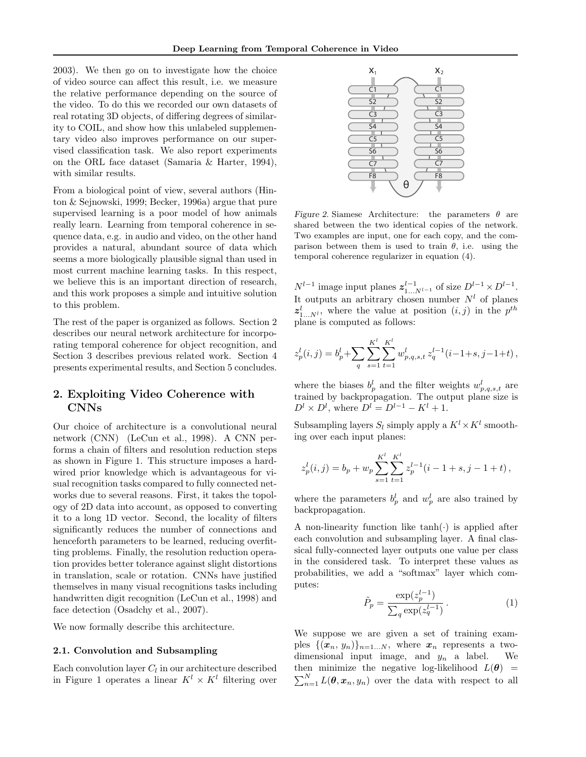2003). We then go on to investigate how the choice of video source can affect this result, i.e. we measure the relative performance depending on the source of the video. To do this we recorded our own datasets of real rotating 3D objects, of differing degrees of similarity to COIL, and show how this unlabeled supplementary video also improves performance on our supervised classification task. We also report experiments on the ORL face dataset (Samaria & Harter, 1994), with similar results.

From a biological point of view, several authors (Hinton & Sejnowski, 1999; Becker, 1996a) argue that pure supervised learning is a poor model of how animals really learn. Learning from temporal coherence in sequence data, e.g. in audio and video, on the other hand provides a natural, abundant source of data which seems a more biologically plausible signal than used in most current machine learning tasks. In this respect, we believe this is an important direction of research, and this work proposes a simple and intuitive solution to this problem.

The rest of the paper is organized as follows. Section 2 describes our neural network architecture for incorporating temporal coherence for object recognition, and Section 3 describes previous related work. Section 4 presents experimental results, and Section 5 concludes.

# 2. Exploiting Video Coherence with CNNs

Our choice of architecture is a convolutional neural network (CNN) (LeCun et al., 1998). A CNN performs a chain of filters and resolution reduction steps as shown in Figure 1. This structure imposes a hardwired prior knowledge which is advantageous for visual recognition tasks compared to fully connected networks due to several reasons. First, it takes the topology of 2D data into account, as opposed to converting it to a long 1D vector. Second, the locality of filters significantly reduces the number of connections and henceforth parameters to be learned, reducing overfitting problems. Finally, the resolution reduction operation provides better tolerance against slight distortions in translation, scale or rotation. CNNs have justified themselves in many visual recognitions tasks including handwritten digit recognition (LeCun et al., 1998) and face detection (Osadchy et al., 2007).

We now formally describe this architecture.

#### 2.1. Convolution and Subsampling

Each convolution layer  $C_l$  in our architecture described in Figure 1 operates a linear  $K^l \times K^l$  filtering over



Figure 2. Siamese Architecture: the parameters  $\theta$  are shared between the two identical copies of the network. Two examples are input, one for each copy, and the comparison between them is used to train  $\theta$ , i.e. using the temporal coherence regularizer in equation (4).

 $N^{l-1}$  image input planes  $z_{1...N^{l-1}}^{l-1}$  of size  $D^{l-1} \times D^{l-1}$ . It outputs an arbitrary chosen number  $N<sup>l</sup>$  of planes  $z_{1...N^{l}}^{l}$ , where the value at position  $(i, j)$  in the  $p^{th}$ plane is computed as follows:

$$
z_p^l(i,j) = b_p^l + \sum_{q} \sum_{s=1}^{K^l} \sum_{t=1}^{K^l} w_{p,q,s,t}^l z_q^{l-1}(i-1+s,j-1+t),
$$

where the biases  $b_p^l$  and the filter weights  $w_{p,q,s,t}^l$  are trained by backpropagation. The output plane size is  $D^l \times D^l$ , where  $D^l = D^{l-1} - K^l + 1$ .

Subsampling layers  $S_l$  simply apply a  $K^l \times K^l$  smoothing over each input planes:

$$
z_p^l(i,j) = b_p + w_p \sum_{s=1}^{K^l} \sum_{t=1}^{K^l} z_p^{l-1}(i-1+s, j-1+t),
$$

where the parameters  $b_p^l$  and  $w_p^l$  are also trained by backpropagation.

A non-linearity function like  $tanh(\cdot)$  is applied after each convolution and subsampling layer. A final classical fully-connected layer outputs one value per class in the considered task. To interpret these values as probabilities, we add a "softmax" layer which computes:

$$
\tilde{P}_p = \frac{\exp(z_p^{l-1})}{\sum_q \exp(z_q^{l-1})}.
$$
\n(1)

We suppose we are given a set of training examples  $\{(x_n, y_n)\}_{n=1...N}$ , where  $x_n$  represents a twodimensional input image, and  $y_n$  a label. We then minimize the negative log-likelihood  $L(\theta)$  =  $\sum_{n=1}^{N} L(\boldsymbol{\theta}, \boldsymbol{x}_n, y_n)$  over the data with respect to all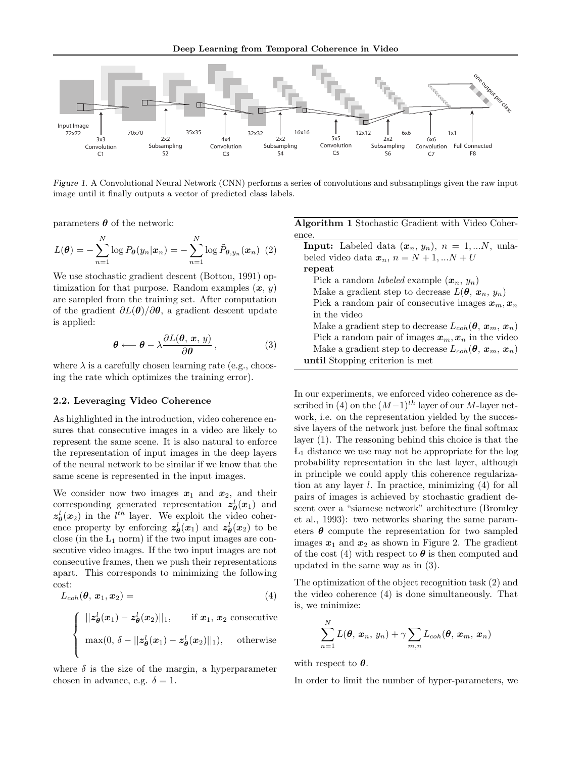

Figure 1. A Convolutional Neural Network (CNN) performs a series of convolutions and subsamplings given the raw input image until it finally outputs a vector of predicted class labels.

parameters  $\boldsymbol{\theta}$  of the network:

$$
L(\boldsymbol{\theta}) = -\sum_{n=1}^{N} \log P_{\boldsymbol{\theta}}(y_n | \boldsymbol{x}_n) = -\sum_{n=1}^{N} \log \tilde{P}_{\boldsymbol{\theta}, y_n}(\boldsymbol{x}_n) \tag{2}
$$

We use stochastic gradient descent (Bottou, 1991) optimization for that purpose. Random examples  $(x, y)$ are sampled from the training set. After computation of the gradient  $\partial L(\theta)/\partial \theta$ , a gradient descent update is applied:

$$
\theta \longleftarrow \theta - \lambda \frac{\partial L(\theta, x, y)}{\partial \theta}, \qquad (3)
$$

where  $\lambda$  is a carefully chosen learning rate (e.g., choosing the rate which optimizes the training error).

#### 2.2. Leveraging Video Coherence

As highlighted in the introduction, video coherence ensures that consecutive images in a video are likely to represent the same scene. It is also natural to enforce the representation of input images in the deep layers of the neural network to be similar if we know that the same scene is represented in the input images.

We consider now two images  $x_1$  and  $x_2$ , and their corresponding generated representation  $z_{\theta}^{l}(x_1)$  and  $z_{\theta}^{l}(x_2)$  in the  $l^{th}$  layer. We exploit the video coherence property by enforcing  $z_{\theta}^l(x_1)$  and  $z_{\theta}^l(x_2)$  to be close (in the  $L_1$  norm) if the two input images are consecutive video images. If the two input images are not consecutive frames, then we push their representations apart. This corresponds to minimizing the following cost:

$$
L_{coh}(\boldsymbol{\theta},\,\boldsymbol{x}_1,\boldsymbol{x}_2) = \tag{4}
$$

$$
\begin{cases}\n||z_{\theta}^{l}(x_1)-z_{\theta}^{l}(x_2)||_1, & \text{if } x_1, x_2 \text{ consecutive} \\
\max(0, \delta-||z_{\theta}^{l}(x_1)-z_{\theta}^{l}(x_2)||_1), & \text{otherwise}\n\end{cases}
$$

where  $\delta$  is the size of the margin, a hyperparameter chosen in advance, e.g.  $\delta = 1$ .

Algorithm 1 Stochastic Gradient with Video Coherence. **Input:** Labeled data  $(x_n, y_n)$ ,  $n = 1,...N$ , unlabeled video data  $x_n$ ,  $n = N + 1, ...N + U$ repeat Pick a random *labeled* example  $(x_n, y_n)$ Make a gradient step to decrease  $L(\theta, x_n, y_n)$ Pick a random pair of consecutive images  $x_m, x_n$ in the video Make a gradient step to decrease  $L_{coh}(\theta, x_m, x_n)$ Pick a random pair of images  $x_m, x_n$  in the video Make a gradient step to decrease  $L_{coh}(\theta, x_m, x_n)$ until Stopping criterion is met

In our experiments, we enforced video coherence as described in (4) on the  $(M-1)^{th}$  layer of our M-layer network, i.e. on the representation yielded by the successive layers of the network just before the final softmax layer (1). The reasoning behind this choice is that the  $L_1$  distance we use may not be appropriate for the log probability representation in the last layer, although in principle we could apply this coherence regularization at any layer  $l$ . In practice, minimizing  $(4)$  for all pairs of images is achieved by stochastic gradient descent over a "siamese network" architecture (Bromley et al., 1993): two networks sharing the same parameters  $\theta$  compute the representation for two sampled images  $x_1$  and  $x_2$  as shown in Figure 2. The gradient of the cost (4) with respect to  $\theta$  is then computed and updated in the same way as in (3).

The optimization of the object recognition task (2) and the video coherence (4) is done simultaneously. That is, we minimize:

$$
\sum_{n=1}^{N} L(\boldsymbol{\theta}, \boldsymbol{x}_n, y_n) + \gamma \sum_{m,n} L_{coh}(\boldsymbol{\theta}, \boldsymbol{x}_m, \boldsymbol{x}_n)
$$

with respect to  $\theta$ .

In order to limit the number of hyper-parameters, we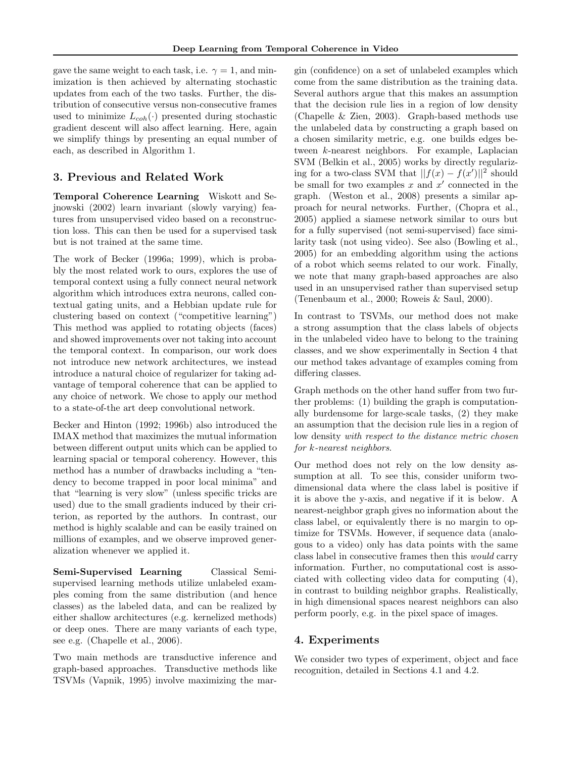gave the same weight to each task, i.e.  $\gamma = 1$ , and minimization is then achieved by alternating stochastic updates from each of the two tasks. Further, the distribution of consecutive versus non-consecutive frames used to minimize  $L_{coh}(\cdot)$  presented during stochastic gradient descent will also affect learning. Here, again we simplify things by presenting an equal number of each, as described in Algorithm 1.

# 3. Previous and Related Work

Temporal Coherence Learning Wiskott and Sejnowski (2002) learn invariant (slowly varying) features from unsupervised video based on a reconstruction loss. This can then be used for a supervised task but is not trained at the same time.

The work of Becker (1996a; 1999), which is probably the most related work to ours, explores the use of temporal context using a fully connect neural network algorithm which introduces extra neurons, called contextual gating units, and a Hebbian update rule for clustering based on context ("competitive learning") This method was applied to rotating objects (faces) and showed improvements over not taking into account the temporal context. In comparison, our work does not introduce new network architectures, we instead introduce a natural choice of regularizer for taking advantage of temporal coherence that can be applied to any choice of network. We chose to apply our method to a state-of-the art deep convolutional network.

Becker and Hinton (1992; 1996b) also introduced the IMAX method that maximizes the mutual information between different output units which can be applied to learning spacial or temporal coherency. However, this method has a number of drawbacks including a "tendency to become trapped in poor local minima" and that "learning is very slow" (unless specific tricks are used) due to the small gradients induced by their criterion, as reported by the authors. In contrast, our method is highly scalable and can be easily trained on millions of examples, and we observe improved generalization whenever we applied it.

Semi-Supervised Learning Classical Semisupervised learning methods utilize unlabeled examples coming from the same distribution (and hence classes) as the labeled data, and can be realized by either shallow architectures (e.g. kernelized methods) or deep ones. There are many variants of each type, see e.g. (Chapelle et al., 2006).

Two main methods are transductive inference and graph-based approaches. Transductive methods like TSVMs (Vapnik, 1995) involve maximizing the margin (confidence) on a set of unlabeled examples which come from the same distribution as the training data. Several authors argue that this makes an assumption that the decision rule lies in a region of low density (Chapelle & Zien, 2003). Graph-based methods use the unlabeled data by constructing a graph based on a chosen similarity metric, e.g. one builds edges between k-nearest neighbors. For example, Laplacian SVM (Belkin et al., 2005) works by directly regularizing for a two-class SVM that  $||f(x) - f(x')||^2$  should be small for two examples  $x$  and  $x'$  connected in the graph. (Weston et al., 2008) presents a similar approach for neural networks. Further, (Chopra et al., 2005) applied a siamese network similar to ours but for a fully supervised (not semi-supervised) face similarity task (not using video). See also (Bowling et al., 2005) for an embedding algorithm using the actions of a robot which seems related to our work. Finally, we note that many graph-based approaches are also used in an unsupervised rather than supervised setup (Tenenbaum et al., 2000; Roweis & Saul, 2000).

In contrast to TSVMs, our method does not make a strong assumption that the class labels of objects in the unlabeled video have to belong to the training classes, and we show experimentally in Section 4 that our method takes advantage of examples coming from differing classes.

Graph methods on the other hand suffer from two further problems: (1) building the graph is computationally burdensome for large-scale tasks, (2) they make an assumption that the decision rule lies in a region of low density with respect to the distance metric chosen for k-nearest neighbors.

Our method does not rely on the low density assumption at all. To see this, consider uniform twodimensional data where the class label is positive if it is above the y-axis, and negative if it is below. A nearest-neighbor graph gives no information about the class label, or equivalently there is no margin to optimize for TSVMs. However, if sequence data (analogous to a video) only has data points with the same class label in consecutive frames then this would carry information. Further, no computational cost is associated with collecting video data for computing (4), in contrast to building neighbor graphs. Realistically, in high dimensional spaces nearest neighbors can also perform poorly, e.g. in the pixel space of images.

### 4. Experiments

We consider two types of experiment, object and face recognition, detailed in Sections 4.1 and 4.2.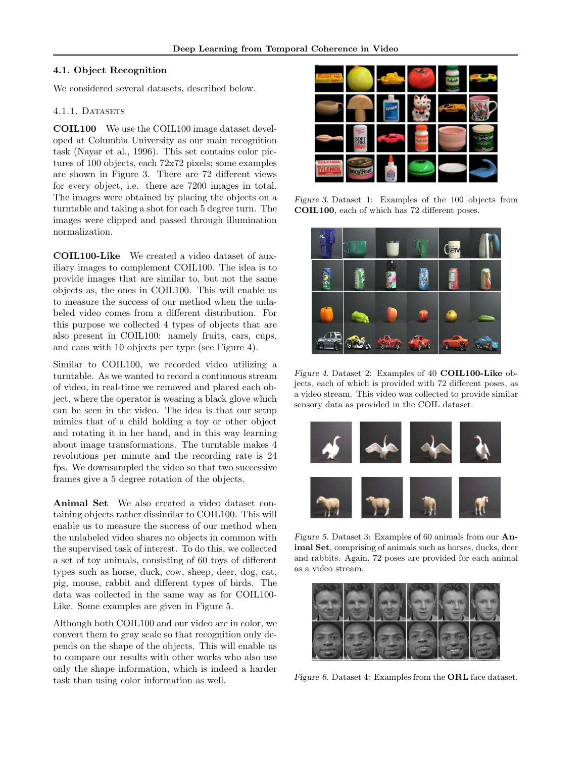#### 4.1. Object Recognition

We considered several datasets, described below.

#### 4.1.1. DATASETS

COIL100 We use the COIL100 image dataset developed at Columbia University as our main recognition task (Nayar et al., 1996). This set contains color pictures of 100 objects, each 72x72 pixels; some examples are shown in Figure 3. There are 72 different views for every object, i.e. there are 7200 images in total. The images were obtained by placing the objects on a turntable and taking a shot for each 5 degree turn. The images were clipped and passed through illumination normalization.

COIL100-Like We created a video dataset of auxiliary images to complement COIL100. The idea is to provide images that are similar to, but not the same objects as, the ones in COIL100. This will enable us to measure the success of our method when the unlabeled video comes from a different distribution. For this purpose we collected 4 types of objects that are also present in COIL100: namely fruits, cars, cups, and cans with 10 objects per type (see Figure 4).

Similar to COIL100, we recorded video utilizing a turntable. As we wanted to record a continuous stream of video, in real-time we removed and placed each object, where the operator is wearing a black glove which can be seen in the video. The idea is that our setup mimics that of a child holding a toy or other object and rotating it in her hand, and in this way learning about image transformations. The turntable makes 4 revolutions per minute and the recording rate is 24 fps. We downsampled the video so that two successive frames give a 5 degree rotation of the objects.

Animal Set We also created a video dataset containing objects rather dissimilar to COIL100. This will enable us to measure the success of our method when the unlabeled video shares no objects in common with the supervised task of interest. To do this, we collected a set of toy animals, consisting of 60 toys of different types such as horse, duck, cow, sheep, deer, dog, cat, pig, mouse, rabbit and different types of birds. The data was collected in the same way as for COIL100- Like. Some examples are given in Figure 5.

Although both COIL100 and our video are in color, we convert them to gray scale so that recognition only depends on the shape of the objects. This will enable us to compare our results with other works who also use only the shape information, which is indeed a harder task than using color information as well.



Figure 3. Dataset 1: Examples of the 100 objects from COIL100, each of which has 72 different poses.



Figure 4. Dataset 2: Examples of 40 COIL100-Like objects, each of which is provided with 72 different poses, as a video stream. This video was collected to provide similar sensory data as provided in the COIL dataset.



Figure 5. Dataset 3: Examples of 60 animals from our Animal Set, comprising of animals such as horses, ducks, deer and rabbits. Again, 72 poses are provided for each animal as a video stream.



Figure 6. Dataset 4: Examples from the ORL face dataset.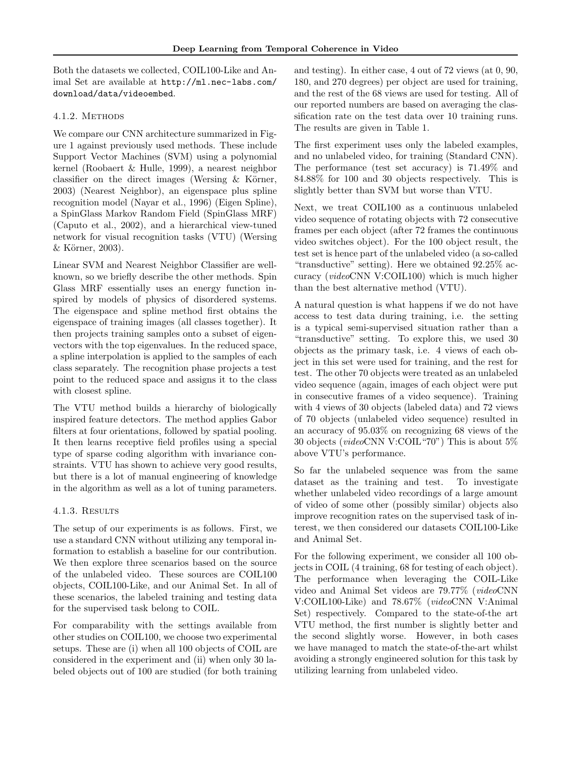Both the datasets we collected, COIL100-Like and Animal Set are available at http://ml.nec-labs.com/ download/data/videoembed.

#### 4.1.2. METHODS

We compare our CNN architecture summarized in Figure 1 against previously used methods. These include Support Vector Machines (SVM) using a polynomial kernel (Roobaert & Hulle, 1999), a nearest neighbor classifier on the direct images (Wersing  $&$  Körner, 2003) (Nearest Neighbor), an eigenspace plus spline recognition model (Nayar et al., 1996) (Eigen Spline), a SpinGlass Markov Random Field (SpinGlass MRF) (Caputo et al., 2002), and a hierarchical view-tuned network for visual recognition tasks (VTU) (Wersing  $&$  Körner, 2003).

Linear SVM and Nearest Neighbor Classifier are wellknown, so we briefly describe the other methods. Spin Glass MRF essentially uses an energy function inspired by models of physics of disordered systems. The eigenspace and spline method first obtains the eigenspace of training images (all classes together). It then projects training samples onto a subset of eigenvectors with the top eigenvalues. In the reduced space, a spline interpolation is applied to the samples of each class separately. The recognition phase projects a test point to the reduced space and assigns it to the class with closest spline.

The VTU method builds a hierarchy of biologically inspired feature detectors. The method applies Gabor filters at four orientations, followed by spatial pooling. It then learns receptive field profiles using a special type of sparse coding algorithm with invariance constraints. VTU has shown to achieve very good results, but there is a lot of manual engineering of knowledge in the algorithm as well as a lot of tuning parameters.

# 4.1.3. Results

The setup of our experiments is as follows. First, we use a standard CNN without utilizing any temporal information to establish a baseline for our contribution. We then explore three scenarios based on the source of the unlabeled video. These sources are COIL100 objects, COIL100-Like, and our Animal Set. In all of these scenarios, the labeled training and testing data for the supervised task belong to COIL.

For comparability with the settings available from other studies on COIL100, we choose two experimental setups. These are (i) when all 100 objects of COIL are considered in the experiment and (ii) when only 30 labeled objects out of 100 are studied (for both training and testing). In either case, 4 out of 72 views (at 0, 90, 180, and 270 degrees) per object are used for training, and the rest of the 68 views are used for testing. All of our reported numbers are based on averaging the classification rate on the test data over 10 training runs. The results are given in Table 1.

The first experiment uses only the labeled examples, and no unlabeled video, for training (Standard CNN). The performance (test set accuracy) is 71.49% and 84.88% for 100 and 30 objects respectively. This is slightly better than SVM but worse than VTU.

Next, we treat COIL100 as a continuous unlabeled video sequence of rotating objects with 72 consecutive frames per each object (after 72 frames the continuous video switches object). For the 100 object result, the test set is hence part of the unlabeled video (a so-called "transductive" setting). Here we obtained 92.25% accuracy (videoCNN V:COIL100) which is much higher than the best alternative method (VTU).

A natural question is what happens if we do not have access to test data during training, i.e. the setting is a typical semi-supervised situation rather than a "transductive" setting. To explore this, we used 30 objects as the primary task, i.e. 4 views of each object in this set were used for training, and the rest for test. The other 70 objects were treated as an unlabeled video sequence (again, images of each object were put in consecutive frames of a video sequence). Training with 4 views of 30 objects (labeled data) and 72 views of 70 objects (unlabeled video sequence) resulted in an accuracy of 95.03% on recognizing 68 views of the 30 objects (videoCNN V:COIL"70") This is about 5% above VTU's performance.

So far the unlabeled sequence was from the same dataset as the training and test. To investigate whether unlabeled video recordings of a large amount of video of some other (possibly similar) objects also improve recognition rates on the supervised task of interest, we then considered our datasets COIL100-Like and Animal Set.

For the following experiment, we consider all 100 objects in COIL (4 training, 68 for testing of each object). The performance when leveraging the COIL-Like video and Animal Set videos are 79.77% (videoCNN V:COIL100-Like) and 78.67% (videoCNN V:Animal Set) respectively. Compared to the state-of-the art VTU method, the first number is slightly better and the second slightly worse. However, in both cases we have managed to match the state-of-the-art whilst avoiding a strongly engineered solution for this task by utilizing learning from unlabeled video.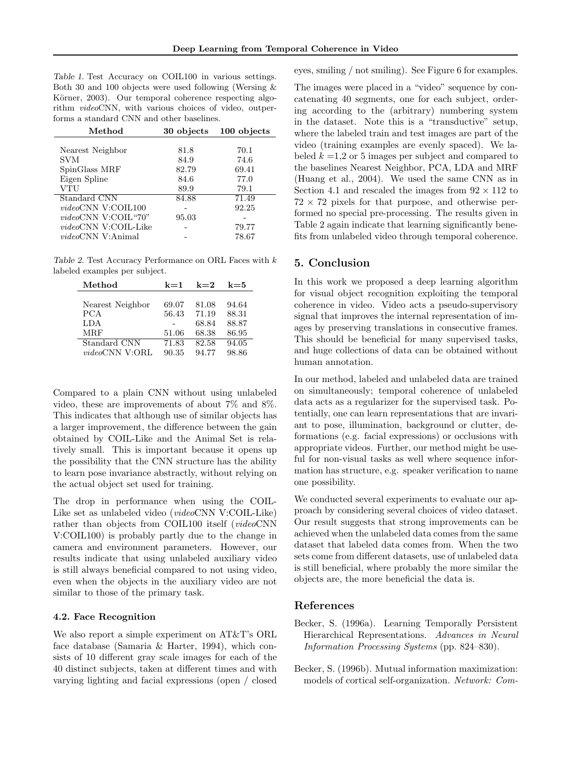Table 1. Test Accuracy on COIL100 in various settings. Both 30 and 100 objects were used following (Wersing & Körner, 2003). Our temporal coherence respecting algorithm videoCNN, with various choices of video, outperforms a standard CNN and other baselines.

| Method                       | 30 objects | 100 objects |  |
|------------------------------|------------|-------------|--|
|                              |            |             |  |
| Nearest Neighbor             | 81.8       | 70.1        |  |
| SVM                          | 84.9       | 74.6        |  |
| SpinGlass MRF                | 82.79      | 69.41       |  |
| Eigen Spline                 | 84.6       | 77.0        |  |
| VTU                          | 89.9       | 79.1        |  |
| Standard CNN                 | 84.88      | 71.49       |  |
| videoCNN V:COIL100           |            | 92.25       |  |
| videoCNN V:COIL"70"          | 95.03      |             |  |
| <i>videoCNN V</i> :COIL-Like |            | 79.77       |  |
| <i>video</i> CNN V:Animal    |            | 78.67       |  |

Table 2. Test Accuracy Performance on ORL Faces with k labeled examples per subject.

| Method                 | $k=1$ | $k=2$ | $k = 5$ |
|------------------------|-------|-------|---------|
|                        |       |       |         |
| Nearest Neighbor       | 69.07 | 81.08 | 94.64   |
| <b>PCA</b>             | 56.43 | 71.19 | 88.31   |
| LDA                    |       | 68.84 | 88.87   |
| <b>MRF</b>             | 51.06 | 68.38 | 86.95   |
| Standard CNN           | 71.83 | 82.58 | 94.05   |
| <i>videoCNN V</i> :ORL | 90.35 | 94.77 | 98.86   |

Compared to a plain CNN without using unlabeled video, these are improvements of about 7% and 8%. This indicates that although use of similar objects has a larger improvement, the difference between the gain obtained by COIL-Like and the Animal Set is relatively small. This is important because it opens up the possibility that the CNN structure has the ability to learn pose invariance abstractly, without relying on the actual object set used for training.

The drop in performance when using the COIL-Like set as unlabeled video (videoCNN V:COIL-Like) rather than objects from COIL100 itself (*videoCNN* V:COIL100) is probably partly due to the change in camera and environment parameters. However, our results indicate that using unlabeled auxiliary video is still always beneficial compared to not using video, even when the objects in the auxiliary video are not similar to those of the primary task.

#### 4.2. Face Recognition

We also report a simple experiment on AT&T's ORL face database (Samaria & Harter, 1994), which consists of 10 different gray scale images for each of the 40 distinct subjects, taken at different times and with varying lighting and facial expressions (open / closed eyes, smiling / not smiling). See Figure 6 for examples.

The images were placed in a "video" sequence by concatenating 40 segments, one for each subject, ordering according to the (arbitrary) numbering system in the dataset. Note this is a "transductive" setup, where the labeled train and test images are part of the video (training examples are evenly spaced). We labeled  $k = 1,2$  or 5 images per subject and compared to the baselines Nearest Neighbor, PCA, LDA and MRF (Huang et al., 2004). We used the same CNN as in Section 4.1 and rescaled the images from  $92 \times 112$  to  $72 \times 72$  pixels for that purpose, and otherwise performed no special pre-processing. The results given in Table 2 again indicate that learning significantly benefits from unlabeled video through temporal coherence.

### 5. Conclusion

In this work we proposed a deep learning algorithm for visual object recognition exploiting the temporal coherence in video. Video acts a pseudo-supervisory signal that improves the internal representation of images by preserving translations in consecutive frames. This should be beneficial for many supervised tasks, and huge collections of data can be obtained without human annotation.

In our method, labeled and unlabeled data are trained on simultaneously; temporal coherence of unlabeled data acts as a regularizer for the supervised task. Potentially, one can learn representations that are invariant to pose, illumination, background or clutter, deformations (e.g. facial expressions) or occlusions with appropriate videos. Further, our method might be useful for non-visual tasks as well where sequence information has structure, e.g. speaker verification to name one possibility.

We conducted several experiments to evaluate our approach by considering several choices of video dataset. Our result suggests that strong improvements can be achieved when the unlabeled data comes from the same dataset that labeled data comes from. When the two sets come from different datasets, use of unlabeled data is still beneficial, where probably the more similar the objects are, the more beneficial the data is.

### References

- Becker, S. (1996a). Learning Temporally Persistent Hierarchical Representations. Advances in Neural Information Processing Systems (pp. 824–830).
- Becker, S. (1996b). Mutual information maximization: models of cortical self-organization. Network: Com-